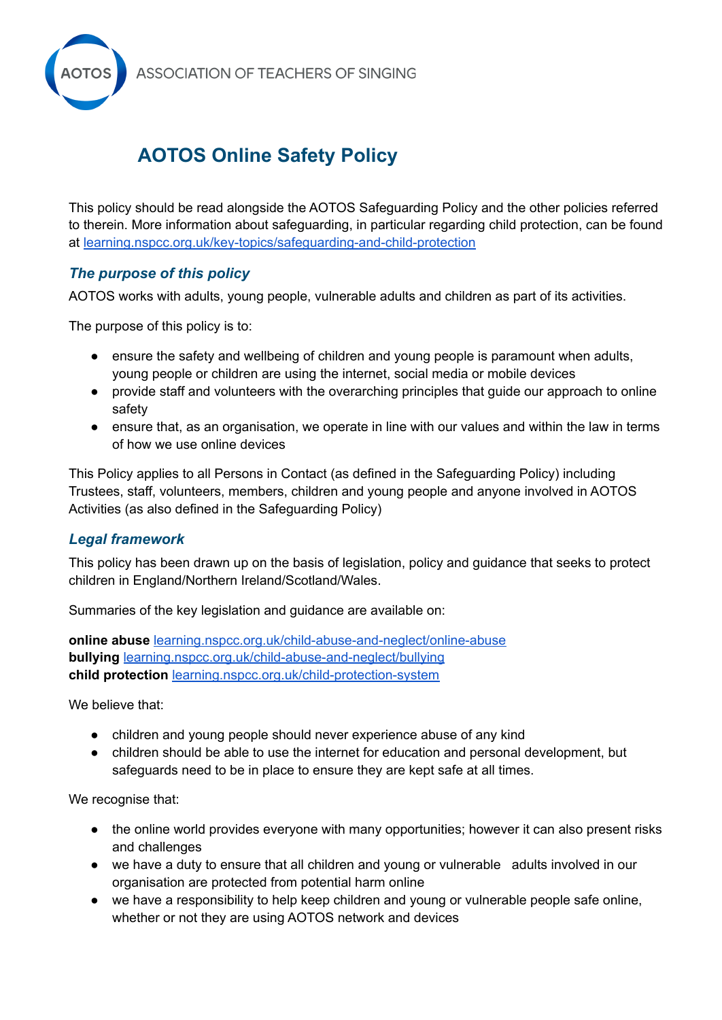

# **AOTOS Online Safety Policy**

This policy should be read alongside the AOTOS Safeguarding Policy and the other policies referred to therein. More information about safeguarding, in particular regarding child protection, can be found at [learning.nspcc.org.uk/key-topics/safeguarding-and-child-protection](http://learning.nspcc.org.uk/key-topics/safeguarding-and-child-protection)

# *The purpose of this policy*

AOTOS works with adults, young people, vulnerable adults and children as part of its activities.

The purpose of this policy is to:

- ensure the safety and wellbeing of children and young people is paramount when adults, young people or children are using the internet, social media or mobile devices
- provide staff and volunteers with the overarching principles that guide our approach to online safety
- ensure that, as an organisation, we operate in line with our values and within the law in terms of how we use online devices

This Policy applies to all Persons in Contact (as defined in the Safeguarding Policy) including Trustees, staff, volunteers, members, children and young people and anyone involved in AOTOS Activities (as also defined in the Safeguarding Policy)

## *Legal framework*

This policy has been drawn up on the basis of legislation, policy and guidance that seeks to protect children in England/Northern Ireland/Scotland/Wales.

Summaries of the key legislation and guidance are available on:

**online abuse** [learning.nspcc.org.uk/child-abuse-and-neglect/online-abuse](http://learning.nspcc.org.uk/child-abuse-and-neglect/online-abuse) **bullying** [learning.nspcc.org.uk/child-abuse-and-neglect/bullying](http://learning.nspcc.org.uk/child-abuse-and-neglect/bullying) **child protection** [learning.nspcc.org.uk/child-protection-system](http://learning.nspcc.org.uk/child-protection-system)

We believe that:

- children and young people should never experience abuse of any kind
- children should be able to use the internet for education and personal development, but safeguards need to be in place to ensure they are kept safe at all times.

We recognise that:

- the online world provides everyone with many opportunities; however it can also present risks and challenges
- we have a duty to ensure that all children and young or vulnerable adults involved in our organisation are protected from potential harm online
- we have a responsibility to help keep children and young or vulnerable people safe online, whether or not they are using AOTOS network and devices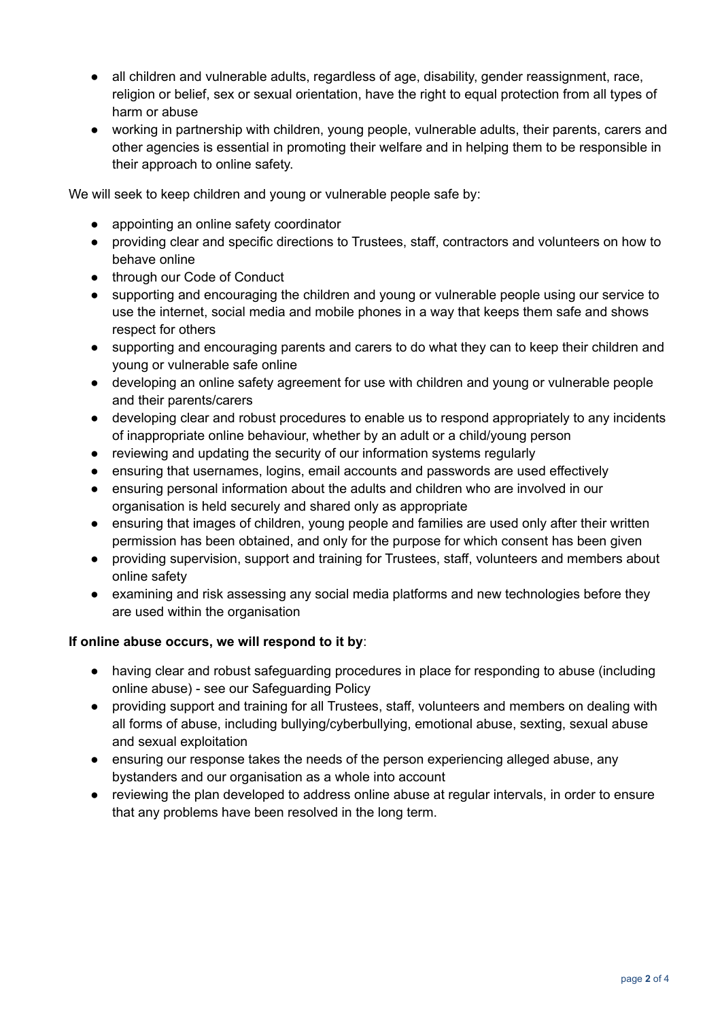- all children and vulnerable adults, regardless of age, disability, gender reassignment, race, religion or belief, sex or sexual orientation, have the right to equal protection from all types of harm or abuse
- working in partnership with children, young people, vulnerable adults, their parents, carers and other agencies is essential in promoting their welfare and in helping them to be responsible in their approach to online safety.

We will seek to keep children and young or vulnerable people safe by:

- appointing an online safety coordinator
- providing clear and specific directions to Trustees, staff, contractors and volunteers on how to behave online
- through our Code of Conduct
- supporting and encouraging the children and young or vulnerable people using our service to use the internet, social media and mobile phones in a way that keeps them safe and shows respect for others
- supporting and encouraging parents and carers to do what they can to keep their children and young or vulnerable safe online
- developing an online safety agreement for use with children and young or vulnerable people and their parents/carers
- developing clear and robust procedures to enable us to respond appropriately to any incidents of inappropriate online behaviour, whether by an adult or a child/young person
- reviewing and updating the security of our information systems regularly
- ensuring that usernames, logins, email accounts and passwords are used effectively
- ensuring personal information about the adults and children who are involved in our organisation is held securely and shared only as appropriate
- ensuring that images of children, young people and families are used only after their written permission has been obtained, and only for the purpose for which consent has been given
- providing supervision, support and training for Trustees, staff, volunteers and members about online safety
- examining and risk assessing any social media platforms and new technologies before they are used within the organisation

## **If online abuse occurs, we will respond to it by**:

- having clear and robust safeguarding procedures in place for responding to abuse (including online abuse) - see our Safeguarding Policy
- providing support and training for all Trustees, staff, volunteers and members on dealing with all forms of abuse, including bullying/cyberbullying, emotional abuse, sexting, sexual abuse and sexual exploitation
- ensuring our response takes the needs of the person experiencing alleged abuse, any bystanders and our organisation as a whole into account
- reviewing the plan developed to address online abuse at regular intervals, in order to ensure that any problems have been resolved in the long term.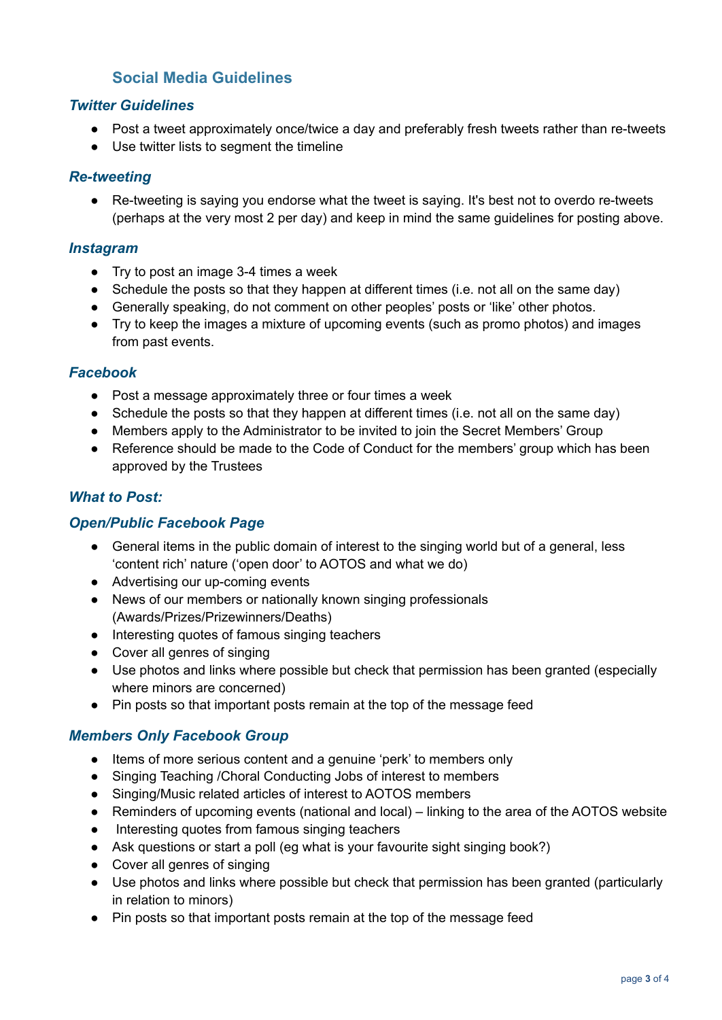# **Social Media Guidelines**

## *Twitter Guidelines*

- Post a tweet approximately once/twice a day and preferably fresh tweets rather than re-tweets
- Use twitter lists to segment the timeline

#### *Re-tweeting*

● Re-tweeting is saying you endorse what the tweet is saying. It's best not to overdo re-tweets (perhaps at the very most 2 per day) and keep in mind the same guidelines for posting above.

#### *Instagram*

- Try to post an image 3-4 times a week
- Schedule the posts so that they happen at different times (i.e. not all on the same day)
- Generally speaking, do not comment on other peoples' posts or 'like' other photos.
- Try to keep the images a mixture of upcoming events (such as promo photos) and images from past events.

#### *Facebook*

- Post a message approximately three or four times a week
- Schedule the posts so that they happen at different times (i.e. not all on the same day)
- Members apply to the Administrator to be invited to join the Secret Members' Group
- Reference should be made to the Code of Conduct for the members' group which has been approved by the Trustees

## *What to Post:*

## *Open/Public Facebook Page*

- General items in the public domain of interest to the singing world but of a general, less 'content rich' nature ('open door' to AOTOS and what we do)
- Advertising our up-coming events
- News of our members or nationally known singing professionals (Awards/Prizes/Prizewinners/Deaths)
- Interesting quotes of famous singing teachers
- Cover all genres of singing
- Use photos and links where possible but check that permission has been granted (especially where minors are concerned)
- Pin posts so that important posts remain at the top of the message feed

# *Members Only Facebook Group*

- Items of more serious content and a genuine 'perk' to members only
- Singing Teaching / Choral Conducting Jobs of interest to members
- Singing/Music related articles of interest to AOTOS members
- Reminders of upcoming events (national and local) linking to the area of the AOTOS website
- Interesting quotes from famous singing teachers
- Ask questions or start a poll (eq what is your favourite sight singing book?)
- Cover all genres of singing
- Use photos and links where possible but check that permission has been granted (particularly in relation to minors)
- Pin posts so that important posts remain at the top of the message feed